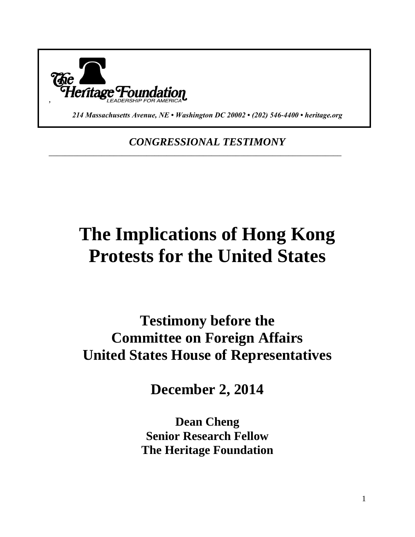

*214 Massachusetts Avenue, NE • Washington DC 20002 • (202) 546-4400 • heritage.org*

*CONGRESSIONAL TESTIMONY*

\_\_\_\_\_\_\_\_\_\_\_\_\_\_\_\_\_\_\_\_\_\_\_\_\_\_\_\_\_\_\_\_\_\_\_\_\_\_\_\_\_\_\_\_\_\_\_\_\_\_\_\_\_\_\_\_\_\_\_\_\_\_\_\_\_\_\_\_\_\_\_\_

# **The Implications of Hong Kong Protests for the United States**

**Testimony before the Committee on Foreign Affairs United States House of Representatives**

**December 2, 2014**

**Dean Cheng Senior Research Fellow The Heritage Foundation**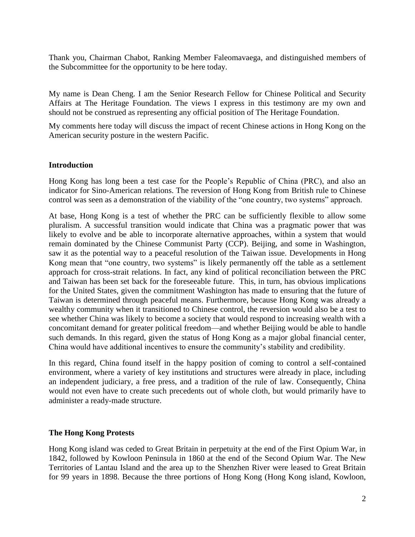Thank you, Chairman Chabot, Ranking Member Faleomavaega, and distinguished members of the Subcommittee for the opportunity to be here today.

My name is Dean Cheng. I am the Senior Research Fellow for Chinese Political and Security Affairs at The Heritage Foundation. The views I express in this testimony are my own and should not be construed as representing any official position of The Heritage Foundation.

My comments here today will discuss the impact of recent Chinese actions in Hong Kong on the American security posture in the western Pacific.

#### **Introduction**

Hong Kong has long been a test case for the People's Republic of China (PRC), and also an indicator for Sino-American relations. The reversion of Hong Kong from British rule to Chinese control was seen as a demonstration of the viability of the "one country, two systems" approach.

At base, Hong Kong is a test of whether the PRC can be sufficiently flexible to allow some pluralism. A successful transition would indicate that China was a pragmatic power that was likely to evolve and be able to incorporate alternative approaches, within a system that would remain dominated by the Chinese Communist Party (CCP). Beijing, and some in Washington, saw it as the potential way to a peaceful resolution of the Taiwan issue. Developments in Hong Kong mean that "one country, two systems" is likely permanently off the table as a settlement approach for cross-strait relations. In fact, any kind of political reconciliation between the PRC and Taiwan has been set back for the foreseeable future. This, in turn, has obvious implications for the United States, given the commitment Washington has made to ensuring that the future of Taiwan is determined through peaceful means. Furthermore, because Hong Kong was already a wealthy community when it transitioned to Chinese control, the reversion would also be a test to see whether China was likely to become a society that would respond to increasing wealth with a concomitant demand for greater political freedom—and whether Beijing would be able to handle such demands. In this regard, given the status of Hong Kong as a major global financial center, China would have additional incentives to ensure the community's stability and credibility.

In this regard, China found itself in the happy position of coming to control a self-contained environment, where a variety of key institutions and structures were already in place, including an independent judiciary, a free press, and a tradition of the rule of law. Consequently, China would not even have to create such precedents out of whole cloth, but would primarily have to administer a ready-made structure.

## **The Hong Kong Protests**

Hong Kong island was ceded to Great Britain in perpetuity at the end of the First Opium War, in 1842, followed by Kowloon Peninsula in 1860 at the end of the Second Opium War. The New Territories of Lantau Island and the area up to the Shenzhen River were leased to Great Britain for 99 years in 1898. Because the three portions of Hong Kong (Hong Kong island, Kowloon,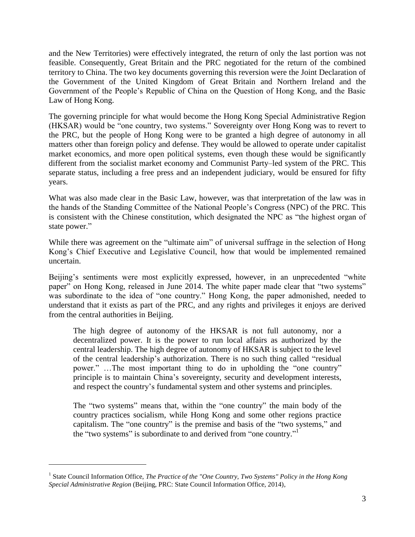and the New Territories) were effectively integrated, the return of only the last portion was not feasible. Consequently, Great Britain and the PRC negotiated for the return of the combined territory to China. The two key documents governing this reversion were the Joint Declaration of the Government of the United Kingdom of Great Britain and Northern Ireland and the Government of the People's Republic of China on the Question of Hong Kong, and the Basic Law of Hong Kong.

The governing principle for what would become the Hong Kong Special Administrative Region (HKSAR) would be "one country, two systems." Sovereignty over Hong Kong was to revert to the PRC, but the people of Hong Kong were to be granted a high degree of autonomy in all matters other than foreign policy and defense. They would be allowed to operate under capitalist market economics, and more open political systems, even though these would be significantly different from the socialist market economy and Communist Party–led system of the PRC. This separate status, including a free press and an independent judiciary, would be ensured for fifty years.

What was also made clear in the Basic Law, however, was that interpretation of the law was in the hands of the Standing Committee of the National People's Congress (NPC) of the PRC. This is consistent with the Chinese constitution, which designated the NPC as "the highest organ of state power."

While there was agreement on the "ultimate aim" of universal suffrage in the selection of Hong Kong's Chief Executive and Legislative Council, how that would be implemented remained uncertain.

Beijing's sentiments were most explicitly expressed, however, in an unprecedented "white paper" on Hong Kong, released in June 2014. The white paper made clear that "two systems" was subordinate to the idea of "one country." Hong Kong, the paper admonished, needed to understand that it exists as part of the PRC, and any rights and privileges it enjoys are derived from the central authorities in Beijing.

The high degree of autonomy of the HKSAR is not full autonomy, nor a decentralized power. It is the power to run local affairs as authorized by the central leadership. The high degree of autonomy of HKSAR is subject to the level of the central leadership's authorization. There is no such thing called "residual power." …The most important thing to do in upholding the "one country" principle is to maintain China's sovereignty, security and development interests, and respect the country's fundamental system and other systems and principles.

The "two systems" means that, within the "one country" the main body of the country practices socialism, while Hong Kong and some other regions practice capitalism. The "one country" is the premise and basis of the "two systems," and the "two systems" is subordinate to and derived from "one country."<sup>1</sup>

<sup>&</sup>lt;sup>1</sup> State Council Information Office, *The Practice of the "One Country, Two Systems" Policy in the Hong Kong Special Administrative Region* (Beijing, PRC: State Council Information Office, 2014),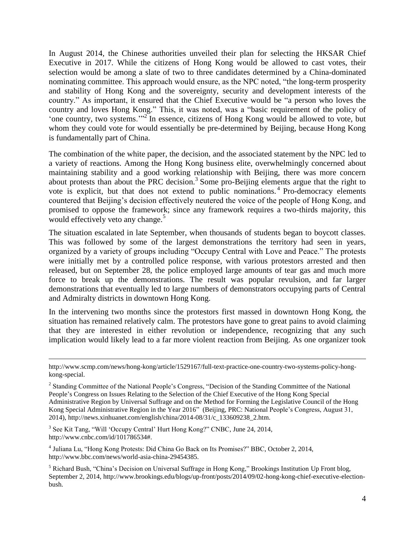In August 2014, the Chinese authorities unveiled their plan for selecting the HKSAR Chief Executive in 2017. While the citizens of Hong Kong would be allowed to cast votes, their selection would be among a slate of two to three candidates determined by a China-dominated nominating committee. This approach would ensure, as the NPC noted, "the long-term prosperity and stability of Hong Kong and the sovereignty, security and development interests of the country." As important, it ensured that the Chief Executive would be "a person who loves the country and loves Hong Kong." This, it was noted, was a "basic requirement of the policy of 'one country, two systems.'"<sup>2</sup> In essence, citizens of Hong Kong would be allowed to vote, but whom they could vote for would essentially be pre-determined by Beijing, because Hong Kong is fundamentally part of China.

The combination of the white paper, the decision, and the associated statement by the NPC led to a variety of reactions. Among the Hong Kong business elite, overwhelmingly concerned about maintaining stability and a good working relationship with Beijing, there was more concern about protests than about the PRC decision.<sup>3</sup> Some pro-Beijing elements argue that the right to vote is explicit, but that does not extend to public nominations.<sup>4</sup> Pro-democracy elements countered that Beijing's decision effectively neutered the voice of the people of Hong Kong, and promised to oppose the framework; since any framework requires a two-thirds majority, this would effectively veto any change.<sup>5</sup>

The situation escalated in late September, when thousands of students began to boycott classes. This was followed by some of the largest demonstrations the territory had seen in years, organized by a variety of groups including "Occupy Central with Love and Peace." The protests were initially met by a controlled police response, with various protestors arrested and then released, but on September 28, the police employed large amounts of tear gas and much more force to break up the demonstrations. The result was popular revulsion, and far larger demonstrations that eventually led to large numbers of demonstrators occupying parts of Central and Admiralty districts in downtown Hong Kong.

In the intervening two months since the protestors first massed in downtown Hong Kong, the situation has remained relatively calm. The protestors have gone to great pains to avoid claiming that they are interested in either revolution or independence, recognizing that any such implication would likely lead to a far more violent reaction from Beijing. As one organizer took

<sup>3</sup> See Kit Tang, "Will 'Occupy Central' Hurt Hong Kong?" CNBC, June 24, 2014, http://www.cnbc.com/id/101786534#.

 $\overline{a}$ 

4 Juliana Lu, "Hong Kong Protests: Did China Go Back on Its Promises?" BBC, October 2, 2014, http://www.bbc.com/news/world-asia-china-29454385.

http://www.scmp.com/news/hong-kong/article/1529167/full-text-practice-one-country-two-systems-policy-hongkong-special.

<sup>&</sup>lt;sup>2</sup> Standing Committee of the National People's Congress, "Decision of the Standing Committee of the National People's Congress on Issues Relating to the Selection of the Chief Executive of the Hong Kong Special Administrative Region by Universal Suffrage and on the Method for Forming the Legislative Council of the Hong Kong Special Administrative Region in the Year 2016" (Beijing, PRC: National People's Congress, August 31, 2014), http://news.xinhuanet.com/english/china/2014-08/31/c\_133609238\_2.htm.

<sup>5</sup> Richard Bush, "China's Decision on Universal Suffrage in Hong Kong," Brookings Institution Up Front blog, September 2, 2014, http://www.brookings.edu/blogs/up-front/posts/2014/09/02-hong-kong-chief-executive-electionbush.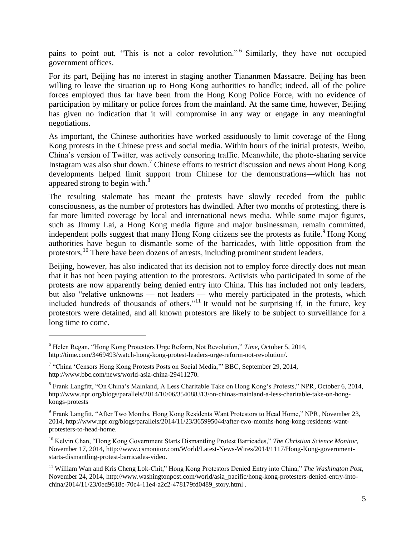pains to point out, "This is not a color revolution." Similarly, they have not occupied government offices.

For its part, Beijing has no interest in staging another Tiananmen Massacre. Beijing has been willing to leave the situation up to Hong Kong authorities to handle; indeed, all of the police forces employed thus far have been from the Hong Kong Police Force, with no evidence of participation by military or police forces from the mainland. At the same time, however, Beijing has given no indication that it will compromise in any way or engage in any meaningful negotiations.

As important, the Chinese authorities have worked assiduously to limit coverage of the Hong Kong protests in the Chinese press and social media. Within hours of the initial protests, Weibo, China's version of Twitter, was actively censoring traffic. Meanwhile, the photo-sharing service Instagram was also shut down.<sup>7</sup> Chinese efforts to restrict discussion and news about Hong Kong developments helped limit support from Chinese for the demonstrations—which has not appeared strong to begin with. $8<sup>8</sup>$ 

The resulting stalemate has meant the protests have slowly receded from the public consciousness, as the number of protestors has dwindled. After two months of protesting, there is far more limited coverage by local and international news media. While some major figures, such as Jimmy Lai, a Hong Kong media figure and major businessman, remain committed, independent polls suggest that many Hong Kong citizens see the protests as futile.<sup>9</sup> Hong Kong authorities have begun to dismantle some of the barricades, with little opposition from the protestors.<sup>10</sup> There have been dozens of arrests, including prominent student leaders.

Beijing, however, has also indicated that its decision not to employ force directly does not mean that it has not been paying attention to the protestors. Activists who participated in some of the protests are now apparently being denied entry into China. This has included not only leaders, but also "relative unknowns — not leaders — who merely participated in the protests, which included hundreds of thousands of others."<sup>11</sup> It would not be surprising if, in the future, key protestors were detained, and all known protestors are likely to be subject to surveillance for a long time to come.

<sup>6</sup> Helen Regan, "Hong Kong Protestors Urge Reform, Not Revolution," *Time*, October 5, 2014, http://time.com/3469493/watch-hong-kong-protest-leaders-urge-reform-not-revolution/.

<sup>&</sup>lt;sup>7</sup> "China 'Censors Hong Kong Protests Posts on Social Media," BBC, September 29, 2014, http://www.bbc.com/news/world-asia-china-29411270.

<sup>&</sup>lt;sup>8</sup> Frank Langfitt, "On China's Mainland, A Less Charitable Take on Hong Kong's Protests," NPR, October 6, 2014, http://www.npr.org/blogs/parallels/2014/10/06/354088313/on-chinas-mainland-a-less-charitable-take-on-hongkongs-protests

<sup>&</sup>lt;sup>9</sup> Frank Langfitt, "After Two Months, Hong Kong Residents Want Protestors to Head Home," NPR, November 23, 2014, http://www.npr.org/blogs/parallels/2014/11/23/365995044/after-two-months-hong-kong-residents-wantprotesters-to-head-home.

<sup>10</sup> Kelvin Chan, "Hong Kong Government Starts Dismantling Protest Barricades," *The Christian Science Monitor*, November 17, 2014, http://www.csmonitor.com/World/Latest-News-Wires/2014/1117/Hong-Kong-governmentstarts-dismantling-protest-barricades-video.

<sup>11</sup> William Wan and Kris Cheng Lok-Chit," Hong Kong Protestors Denied Entry into China," *The Washington Post*, November 24, 2014, http://www.washingtonpost.com/world/asia\_pacific/hong-kong-protesters-denied-entry-intochina/2014/11/23/0ed9618c-70c4-11e4-a2c2-478179fd0489\_story.html .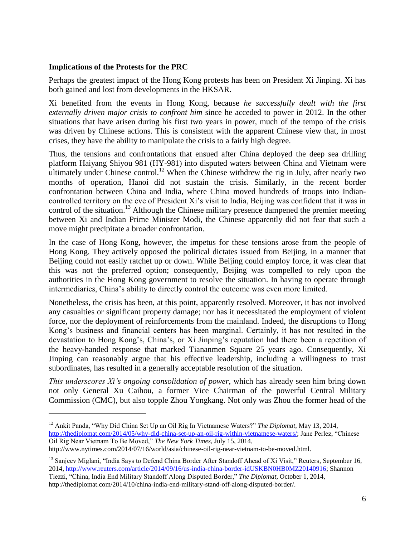## **Implications of the Protests for the PRC**

Perhaps the greatest impact of the Hong Kong protests has been on President Xi Jinping. Xi has both gained and lost from developments in the HKSAR.

Xi benefited from the events in Hong Kong, because *he successfully dealt with the first externally driven major crisis to confront him* since he acceded to power in 2012. In the other situations that have arisen during his first two years in power, much of the tempo of the crisis was driven by Chinese actions. This is consistent with the apparent Chinese view that, in most crises, they have the ability to manipulate the crisis to a fairly high degree.

Thus, the tensions and confrontations that ensued after China deployed the deep sea drilling platform Haiyang Shiyou 981 (HY-981) into disputed waters between China and Vietnam were ultimately under Chinese control.<sup>12</sup> When the Chinese withdrew the rig in July, after nearly two months of operation, Hanoi did not sustain the crisis. Similarly, in the recent border confrontation between China and India, where China moved hundreds of troops into Indiancontrolled territory on the eve of President Xi's visit to India, Beijing was confident that it was in control of the situation.<sup>13</sup> Although the Chinese military presence dampened the premier meeting between Xi and Indian Prime Minister Modi, the Chinese apparently did not fear that such a move might precipitate a broader confrontation.

In the case of Hong Kong, however, the impetus for these tensions arose from the people of Hong Kong. They actively opposed the political dictates issued from Beijing, in a manner that Beijing could not easily ratchet up or down. While Beijing could employ force, it was clear that this was not the preferred option; consequently, Beijing was compelled to rely upon the authorities in the Hong Kong government to resolve the situation. In having to operate through intermediaries, China's ability to directly control the outcome was even more limited.

Nonetheless, the crisis has been, at this point, apparently resolved. Moreover, it has not involved any casualties or significant property damage; nor has it necessitated the employment of violent force, nor the deployment of reinforcements from the mainland. Indeed, the disruptions to Hong Kong's business and financial centers has been marginal. Certainly, it has not resulted in the devastation to Hong Kong's, China's, or Xi Jinping's reputation had there been a repetition of the heavy-handed response that marked Tiananmen Square 25 years ago. Consequently, Xi Jinping can reasonably argue that his effective leadership, including a willingness to trust subordinates, has resulted in a generally acceptable resolution of the situation.

*This underscores Xi's ongoing consolidation of power*, which has already seen him bring down not only General Xu Caihou, a former Vice Chairman of the powerful Central Military Commission (CMC), but also topple Zhou Yongkang. Not only was Zhou the former head of the

http://www.nytimes.com/2014/07/16/world/asia/chinese-oil-rig-near-vietnam-to-be-moved.html.

 $\overline{a}$ 

<sup>13</sup> Sanjeev Miglani, "India Says to Defend China Border After Standoff Ahead of Xi Visit," Reuters, September 16, 2014, [http://www.reuters.com/article/2014/09/16/us-india-china-border-idUSKBN0HB0MZ20140916;](http://www.reuters.com/article/2014/09/16/us-india-china-border-idUSKBN0HB0MZ20140916) Shannon Tiezzi, "China, India End Military Standoff Along Disputed Border," *The Diplomat*, October 1, 2014, http://thediplomat.com/2014/10/china-india-end-military-stand-off-along-disputed-border/.

<sup>12</sup> Ankit Panda, "Why Did China Set Up an Oil Rig In Vietnamese Waters?" *The Diplomat*, May 13, 2014, [http://thediplomat.com/2014/05/why-did-china-set-up-an-oil-rig-within-vietnamese-waters/;](http://thediplomat.com/2014/05/why-did-china-set-up-an-oil-rig-within-vietnamese-waters/) Jane Perlez, "Chinese Oil Rig Near Vietnam To Be Moved," *The New York Times*, July 15, 2014,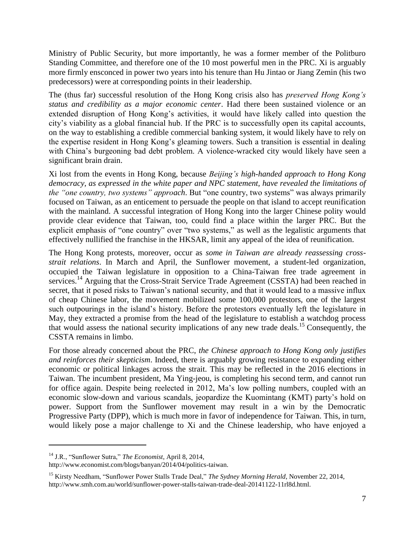Ministry of Public Security, but more importantly, he was a former member of the Politburo Standing Committee, and therefore one of the 10 most powerful men in the PRC. Xi is arguably more firmly ensconced in power two years into his tenure than Hu Jintao or Jiang Zemin (his two predecessors) were at corresponding points in their leadership.

The (thus far) successful resolution of the Hong Kong crisis also has *preserved Hong Kong's status and credibility as a major economic center*. Had there been sustained violence or an extended disruption of Hong Kong's activities, it would have likely called into question the city's viability as a global financial hub. If the PRC is to successfully open its capital accounts, on the way to establishing a credible commercial banking system, it would likely have to rely on the expertise resident in Hong Kong's gleaming towers. Such a transition is essential in dealing with China's burgeoning bad debt problem. A violence-wracked city would likely have seen a significant brain drain.

Xi lost from the events in Hong Kong, because *Beijing's high-handed approach to Hong Kong democracy, as expressed in the white paper and NPC statement, have revealed the limitations of the "one country, two systems" approach*. But "one country, two systems" was always primarily focused on Taiwan, as an enticement to persuade the people on that island to accept reunification with the mainland. A successful integration of Hong Kong into the larger Chinese polity would provide clear evidence that Taiwan, too, could find a place within the larger PRC. But the explicit emphasis of "one country" over "two systems," as well as the legalistic arguments that effectively nullified the franchise in the HKSAR, limit any appeal of the idea of reunification.

The Hong Kong protests, moreover, occur as *some in Taiwan are already reassessing crossstrait relations*. In March and April, the Sunflower movement, a student-led organization, occupied the Taiwan legislature in opposition to a China-Taiwan free trade agreement in services.<sup>14</sup> Arguing that the Cross-Strait Service Trade Agreement (CSSTA) had been reached in secret, that it posed risks to Taiwan's national security, and that it would lead to a massive influx of cheap Chinese labor, the movement mobilized some 100,000 protestors, one of the largest such outpourings in the island's history. Before the protestors eventually left the legislature in May, they extracted a promise from the head of the legislature to establish a watchdog process that would assess the national security implications of any new trade deals.<sup>15</sup> Consequently, the CSSTA remains in limbo.

For those already concerned about the PRC, *the Chinese approach to Hong Kong only justifies and reinforces their skepticism*. Indeed, there is arguably growing resistance to expanding either economic or political linkages across the strait. This may be reflected in the 2016 elections in Taiwan. The incumbent president, Ma Ying-jeou, is completing his second term, and cannot run for office again. Despite being reelected in 2012, Ma's low polling numbers, coupled with an economic slow-down and various scandals, jeopardize the Kuomintang (KMT) party's hold on power. Support from the Sunflower movement may result in a win by the Democratic Progressive Party (DPP), which is much more in favor of independence for Taiwan. This, in turn, would likely pose a major challenge to Xi and the Chinese leadership, who have enjoyed a

<sup>14</sup> J.R., "Sunflower Sutra," *The Economist*, April 8, 2014,

http://www.economist.com/blogs/banyan/2014/04/politics-taiwan.

<sup>&</sup>lt;sup>15</sup> Kirsty Needham, "Sunflower Power Stalls Trade Deal," *The Sydney Morning Herald*, November 22, 2014, http://www.smh.com.au/world/sunflower-power-stalls-taiwan-trade-deal-20141122-11rl8d.html.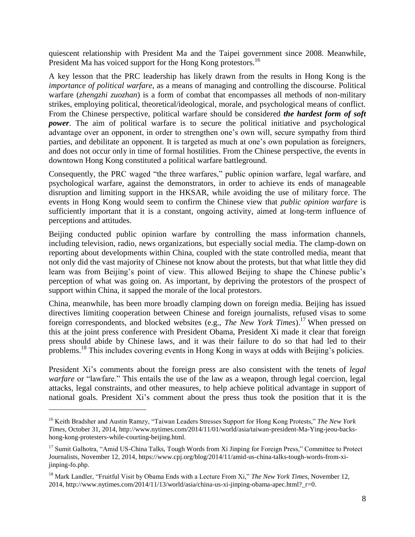quiescent relationship with President Ma and the Taipei government since 2008. Meanwhile, President Ma has voiced support for the Hong Kong protestors.<sup>16</sup>

A key lesson that the PRC leadership has likely drawn from the results in Hong Kong is the *importance of political warfare*, as a means of managing and controlling the discourse. Political warfare (*zhengzhi zuozhan*) is a form of combat that encompasses all methods of non-military strikes, employing political, theoretical/ideological, morale, and psychological means of conflict. From the Chinese perspective, political warfare should be considered *the hardest form of soft power*. The aim of political warfare is to secure the political initiative and psychological advantage over an opponent, in order to strengthen one's own will, secure sympathy from third parties, and debilitate an opponent. It is targeted as much at one's own population as foreigners, and does not occur only in time of formal hostilities. From the Chinese perspective, the events in downtown Hong Kong constituted a political warfare battleground.

Consequently, the PRC waged "the three warfares," public opinion warfare, legal warfare, and psychological warfare, against the demonstrators, in order to achieve its ends of manageable disruption and limiting support in the HKSAR, while avoiding the use of military force. The events in Hong Kong would seem to confirm the Chinese view that *public opinion warfare* is sufficiently important that it is a constant, ongoing activity, aimed at long-term influence of perceptions and attitudes.

Beijing conducted public opinion warfare by controlling the mass information channels, including television, radio, news organizations, but especially social media. The clamp-down on reporting about developments within China, coupled with the state controlled media, meant that not only did the vast majority of Chinese not know about the protests, but that what little they did learn was from Beijing's point of view. This allowed Beijing to shape the Chinese public's perception of what was going on. As important, by depriving the protestors of the prospect of support within China, it sapped the morale of the local protestors.

China, meanwhile, has been more broadly clamping down on foreign media. Beijing has issued directives limiting cooperation between Chinese and foreign journalists, refused visas to some foreign correspondents, and blocked websites (e.g., *The New York Times*).<sup>17</sup> When pressed on this at the joint press conference with President Obama, President Xi made it clear that foreign press should abide by Chinese laws, and it was their failure to do so that had led to their problems.<sup>18</sup> This includes covering events in Hong Kong in ways at odds with Beijing's policies.

President Xi's comments about the foreign press are also consistent with the tenets of *legal warfare* or "lawfare." This entails the use of the law as a weapon, through legal coercion, legal attacks, legal constraints, and other measures, to help achieve political advantage in support of national goals. President Xi's comment about the press thus took the position that it is the

<sup>16</sup> Keith Bradsher and Austin Ramzy, "Taiwan Leaders Stresses Support for Hong Kong Protests," *The New York Times*, October 31, 2014, http://www.nytimes.com/2014/11/01/world/asia/taiwan-president-Ma-Ying-jeou-backshong-kong-protesters-while-courting-beijing.html.

<sup>&</sup>lt;sup>17</sup> Sumit Galhotra, "Amid US-China Talks, Tough Words from Xi Jinping for Foreign Press," Committee to Protect Journalists, November 12, 2014, https://www.cpj.org/blog/2014/11/amid-us-china-talks-tough-words-from-xijinping-fo.php.

<sup>18</sup> Mark Landler, "Fruitful Visit by Obama Ends with a Lecture From Xi," *The New York Times*, November 12, 2014, http://www.nytimes.com/2014/11/13/world/asia/china-us-xi-jinping-obama-apec.html?\_r=0.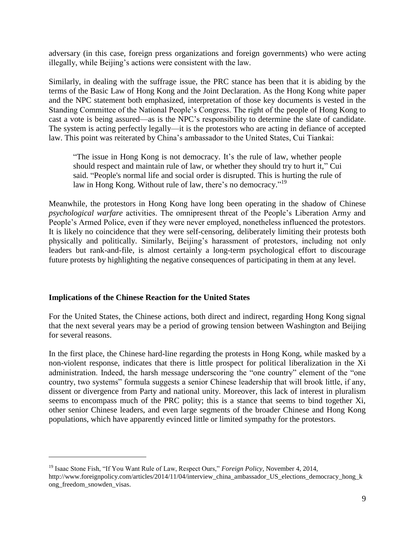adversary (in this case, foreign press organizations and foreign governments) who were acting illegally, while Beijing's actions were consistent with the law.

Similarly, in dealing with the suffrage issue, the PRC stance has been that it is abiding by the terms of the Basic Law of Hong Kong and the Joint Declaration. As the Hong Kong white paper and the NPC statement both emphasized, interpretation of those key documents is vested in the Standing Committee of the National People's Congress. The right of the people of Hong Kong to cast a vote is being assured—as is the NPC's responsibility to determine the slate of candidate. The system is acting perfectly legally—it is the protestors who are acting in defiance of accepted law. This point was reiterated by China's ambassador to the United States, Cui Tiankai:

"The issue in Hong Kong is not democracy. It's the rule of law, whether people should respect and maintain rule of law, or whether they should try to hurt it," Cui said. "People's normal life and social order is disrupted. This is hurting the rule of law in Hong Kong. Without rule of law, there's no democracy."<sup>19</sup>

Meanwhile, the protestors in Hong Kong have long been operating in the shadow of Chinese *psychological warfare* activities. The omnipresent threat of the People's Liberation Army and People's Armed Police, even if they were never employed, nonetheless influenced the protestors. It is likely no coincidence that they were self-censoring, deliberately limiting their protests both physically and politically. Similarly, Beijing's harassment of protestors, including not only leaders but rank-and-file, is almost certainly a long-term psychological effort to discourage future protests by highlighting the negative consequences of participating in them at any level.

#### **Implications of the Chinese Reaction for the United States**

 $\overline{a}$ 

For the United States, the Chinese actions, both direct and indirect, regarding Hong Kong signal that the next several years may be a period of growing tension between Washington and Beijing for several reasons.

In the first place, the Chinese hard-line regarding the protests in Hong Kong, while masked by a non-violent response, indicates that there is little prospect for political liberalization in the Xi administration. Indeed, the harsh message underscoring the "one country" element of the "one country, two systems" formula suggests a senior Chinese leadership that will brook little, if any, dissent or divergence from Party and national unity. Moreover, this lack of interest in pluralism seems to encompass much of the PRC polity; this is a stance that seems to bind together Xi, other senior Chinese leaders, and even large segments of the broader Chinese and Hong Kong populations, which have apparently evinced little or limited sympathy for the protestors.

<sup>19</sup> Isaac Stone Fish, "If You Want Rule of Law, Respect Ours," *Foreign Policy*, November 4, 2014, http://www.foreignpolicy.com/articles/2014/11/04/interview china ambassador US elections democracy hong k ong\_freedom\_snowden\_visas.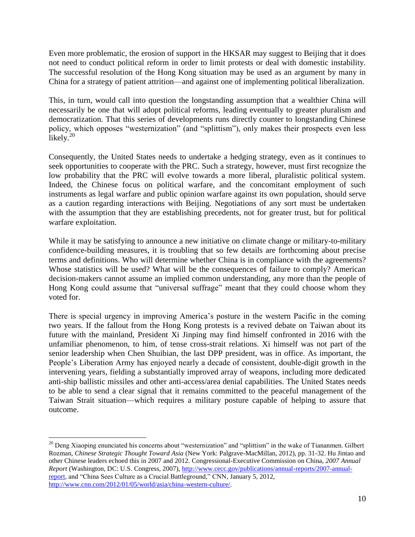Even more problematic, the erosion of support in the HKSAR may suggest to Beijing that it does not need to conduct political reform in order to limit protests or deal with domestic instability. The successful resolution of the Hong Kong situation may be used as an argument by many in China for a strategy of patient attrition—and against one of implementing political liberalization.

This, in turn, would call into question the longstanding assumption that a wealthier China will necessarily be one that will adopt political reforms, leading eventually to greater pluralism and democratization. That this series of developments runs directly counter to longstanding Chinese policy, which opposes "westernization" (and "splittism"), only makes their prospects even less likely.<sup>20</sup>

Consequently, the United States needs to undertake a hedging strategy, even as it continues to seek opportunities to cooperate with the PRC. Such a strategy, however, must first recognize the low probability that the PRC will evolve towards a more liberal, pluralistic political system. Indeed, the Chinese focus on political warfare, and the concomitant employment of such instruments as legal warfare and public opinion warfare against its own population, should serve as a caution regarding interactions with Beijing. Negotiations of any sort must be undertaken with the assumption that they are establishing precedents, not for greater trust, but for political warfare exploitation.

While it may be satisfying to announce a new initiative on climate change or military-to-military confidence-building measures, it is troubling that so few details are forthcoming about precise terms and definitions. Who will determine whether China is in compliance with the agreements? Whose statistics will be used? What will be the consequences of failure to comply? American decision-makers cannot assume an implied common understanding, any more than the people of Hong Kong could assume that "universal suffrage" meant that they could choose whom they voted for.

There is special urgency in improving America's posture in the western Pacific in the coming two years. If the fallout from the Hong Kong protests is a revived debate on Taiwan about its future with the mainland, President Xi Jinping may find himself confronted in 2016 with the unfamiliar phenomenon, to him, of tense cross-strait relations. Xi himself was not part of the senior leadership when Chen Shuibian, the last DPP president, was in office. As important, the People's Liberation Army has enjoyed nearly a decade of consistent, double-digit growth in the intervening years, fielding a substantially improved array of weapons, including more dedicated anti-ship ballistic missiles and other anti-access/area denial capabilities. The United States needs to be able to send a clear signal that it remains committed to the peaceful management of the Taiwan Strait situation—which requires a military posture capable of helping to assure that outcome.

<sup>&</sup>lt;sup>20</sup> Deng Xiaoping enunciated his concerns about "westernization" and "splittism" in the wake of Tiananmen. Gilbert Rozman, *Chinese Strategic Thought Toward Asia* (New York: Palgrave-MacMillan, 2012), pp. 31-32. Hu Jintao and other Chinese leaders echoed this in 2007 and 2012. Congressional-Executive Commission on China, *2007 Annual Report* (Washington, DC: U.S. Congress, 2007), [http://www.cecc.gov/publications/annual-reports/2007-annual](http://www.cecc.gov/publications/annual-reports/2007-annual-report)[report,](http://www.cecc.gov/publications/annual-reports/2007-annual-report) and "China Sees Culture as a Crucial Battleground," CNN, January 5, 2012, [http://www.cnn.com/2012/01/05/world/asia/china-western-culture/.](http://www.cnn.com/2012/01/05/world/asia/china-western-culture/)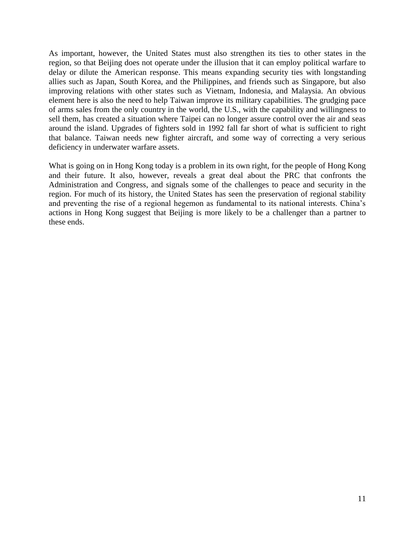As important, however, the United States must also strengthen its ties to other states in the region, so that Beijing does not operate under the illusion that it can employ political warfare to delay or dilute the American response. This means expanding security ties with longstanding allies such as Japan, South Korea, and the Philippines, and friends such as Singapore, but also improving relations with other states such as Vietnam, Indonesia, and Malaysia. An obvious element here is also the need to help Taiwan improve its military capabilities. The grudging pace of arms sales from the only country in the world, the U.S., with the capability and willingness to sell them, has created a situation where Taipei can no longer assure control over the air and seas around the island. Upgrades of fighters sold in 1992 fall far short of what is sufficient to right that balance. Taiwan needs new fighter aircraft, and some way of correcting a very serious deficiency in underwater warfare assets.

What is going on in Hong Kong today is a problem in its own right, for the people of Hong Kong and their future. It also, however, reveals a great deal about the PRC that confronts the Administration and Congress, and signals some of the challenges to peace and security in the region. For much of its history, the United States has seen the preservation of regional stability and preventing the rise of a regional hegemon as fundamental to its national interests. China's actions in Hong Kong suggest that Beijing is more likely to be a challenger than a partner to these ends.